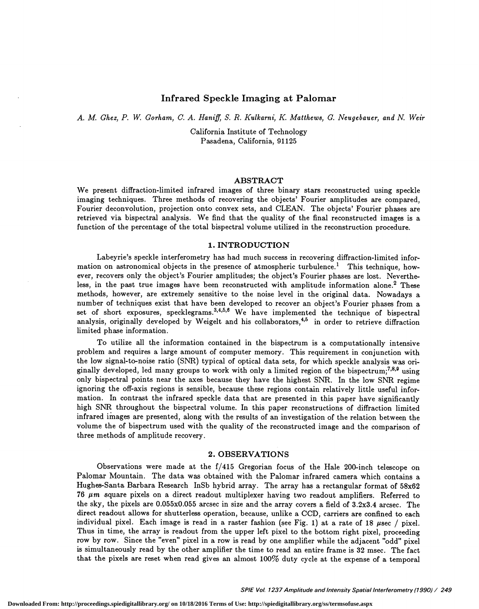# Infrared Speckle Imaging at Palomar

#### A. M. Ghez, P. W. Gorham, C. A. Haniff, S. R. Kulkarni, K. Matthews, G. Neugebauer, and N. Weir

California Institute of Technology Pasadena, California, 91125

#### ABSTRACT

We present diffraction-limited infrared images of three binary stars reconstructed using speckle imaging techniques. Three methods of recovering the objects' Fourier amplitudes are compared, Fourier deconvolution, projection onto convex sets, and CLEAN. The objects' Fourier phases are retrieved via bispectral analysis. We find that the quality of the final reconstructed images is a function of the percentage of the total bispectral volume utilized in the reconstruction procedure.

### 1. INTRODUCTION

Labeyrie's speckle interferometry has had much success in recovering diffraction-limited information on astronomical objects in the presence of atmospheric turbulence.<sup>1</sup> This technique, however, recovers only the object's Fourier amplitudes; the object's Fourier phases are lost. Nevertheless, in the past true images have been reconstructed with amplitude information alone.<sup>2</sup> These methods, however, are extremely sensitive to the noise level in the original data. Nowadays a number of techniques exist that have been developed to recover an object's Fourier phases from a set of short exposures, specklegrams.<sup>3,4,5,6</sup> We have implemented the technique of bispectral analysis, originally developed by Weigelt and his collaborators,<sup>4,5</sup> in order to retrieve diffraction limited phase information.

To utilize all the information contained in the bispectrum is a computationally intensive problem and requires a large amount of computer memory. This requirement in conjunction with the low signal-to-noise ratio (SNR) typical of optical data sets, for which speckle analysis was onginally developed, led many groups to work with only a limited region of the bispectrum;<sup>7,8,9</sup> using only bispectral points near the axes because they have the highest SNR. In the low SNR regime ignoring the off-axis regions is sensible, because these regions contain relatively little useful information. In contrast the infrared speckle data that are presented in this paper have significantly high SNR throughout the bispectral volume. In this paper reconstructions of diffraction limited infrared images are presented, along with the results of an investigation of the relation between the volume the of bispectrum used with the quality of the reconstructed image and the comparison of three methods of amplitude recovery.

#### 2. OBSERVATIONS

Observations were made at the f/415 Gregorian focus of the Hale 200-inch telescope on Palomar Mountain. The data was obtained with the Palomar infrared camera which contains a Hughes-Santa Barbara Research InSb hybrid array. The array has a rectangular format of 58x62 76  $\mu$ m square pixels on a direct readout multiplexer having two readout amplifiers. Referred to the sky, the pixels are 0.055x0.055 arcsec in size and the array covers a field of 3.2x3.4 arcsec. The direct readout allows for shutterless operation, because, unlike a CCD, carriers are confined to each individual pixel. Each image is read in a raster fashion (see Fig. 1) at a rate of 18  $\mu$ sec / pixel. Thus in time, the array is readout from the upper left pixel to the bottom right pixel, proceeding row by row. Since the "even" pixel in a row is read by one amplifier while the adjacent "odd" pixel is simultaneously read by the other amplifier the time to read an entire frame is 32 msec. The fact that the pixels are reset when read gives an almost 100% duty cycle at the expense of a temporal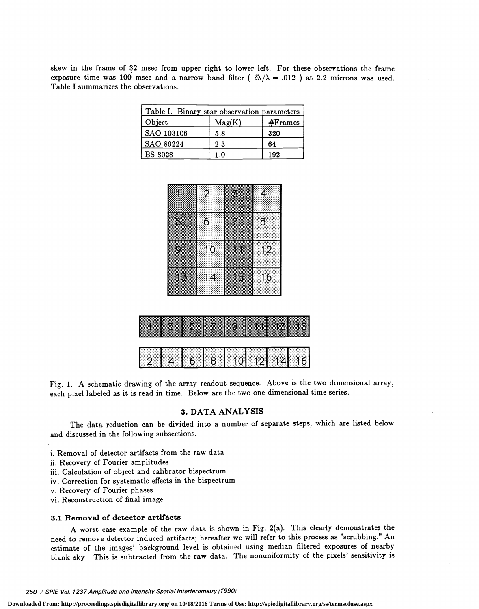skew in the frame of 32 msec from upper right to lower left. For these observations the frame exposure time was 100 msec and a narrow band filter  $(\delta\lambda/\lambda = .012)$  at 2.2 microns was used. Table I summarizes the observations.

| Table I. Binary star observation parameters |        |            |  |  |  |
|---------------------------------------------|--------|------------|--|--|--|
| Object                                      | Mag(K) | $#$ Frames |  |  |  |
| SAO 103106                                  | 5.8    | 320        |  |  |  |
| SAO 86224                                   | 2.3    | 64         |  |  |  |
| <b>BS 8028</b>                              | 1.0    | 192        |  |  |  |

|   | $\overline{2}$  | B | 4        |
|---|-----------------|---|----------|
|   |                 |   |          |
| S | $\mathbf{c}$    | z | $\delta$ |
|   |                 |   |          |
| u | 10              | m | 12       |
|   |                 |   |          |
| D | $\overline{14}$ | D | 16       |
|   |                 |   |          |



Fig. 1. A schematic drawing of the array readout sequence. Above is the two dimensional array, each pixel labeled as it is read in time. Below are the two one dimensional time series.

# 3. DATA ANALYSIS

The data reduction can be divided into a number of separate steps, which are listed below and discussed in the following subsections.

- i. Removal of detector artifacts from the raw data
- ii. Recovery of Fourier amplitudes
- iii. Calculation of object and calibrator bispectrum
- iv. Correction for systematic effects in the bispectrum
- v. Recovery of Fourier phases
- vi. Reconstruction of final image

## 3.1 Removal of detector artifacts

A worst case example of the raw data is shown in Fig. 2(a). This clearly demonstrates the need to remove detector induced artifacts; hereafter we will refer to this process as "scrubbing." An estimate of the images' background level is obtained using median filtered exposures of nearby blank sky. This is subtracted from the raw data. The nonuniformity of the pixels' sensitivity is

250 / SPIE Vol. 1237 Amplitude and Intensity Spatial Interferometry (1990)

**Downloaded From: http://proceedings.spiedigitallibrary.org/ on 10/18/2016 Terms of Use: http://spiedigitallibrary.org/ss/termsofuse.aspx**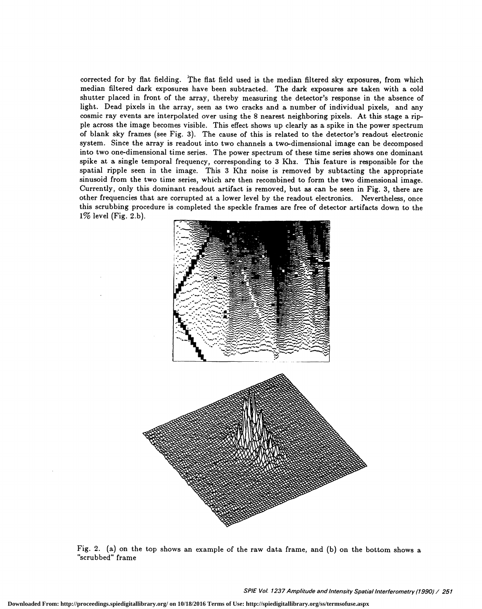corrected for by flat fielding. The fiat field used is the median filtered sky exposures, from which median filtered dark exposures have been subtracted. The dark exposures are taken with a cold shutter placed in front of the array, thereby measuring the detector's response in the absence of light. Dead pixels in the array, seen as two cracks and a number of individual pixels, and any cosmic ray events are interpolated over using the 8 nearest neighboring pixels. At this stage a ripple across the image becomes visible. This effect shows up clearly as a spike in the power spectrum of blank sky frames (see Fig. 3). The cause of this is related to the detector's readout electronic system. Since the array is readout into two channels a two-dimensional image can be decomposed into two one-dimensional time series. The power spectrum of these time series shows one dominant spike at a single temporal frequency, corresponding to 3 Khz. This feature is responsible for the spatial ripple seen in the image. This 3 Khz noise is removed by subtacting the appropriate sinusoid from the two time series, which are then recombined to form the two dimensional image. Currently, only this dominant readout artifact is removed, but as can be seen in Fig. 3, there are other frequencies that are corrupted at a lower level by the readout electronics. Nevertheless, once this scrubbing procedure is completed the speckle frames are free of detector artifacts down to the  $1\%$  level (Fig. 2.b).



Fig. 2. (a) on the top shows an example of the raw data frame, and (b) on the bottom shows a "scrubbed" frame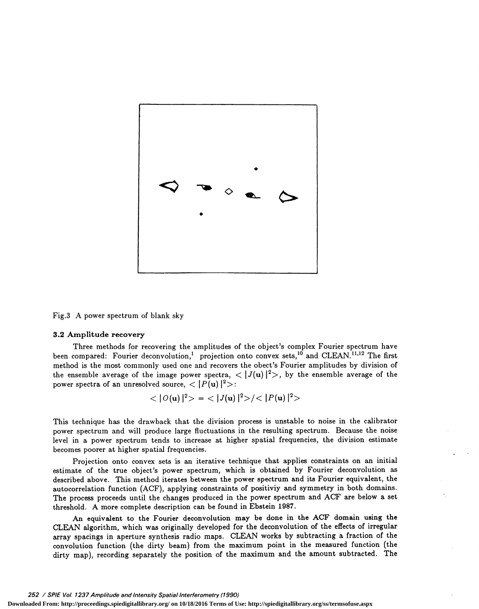

Fig.3 A power spectrum of blank sky

#### 3.2 Amplitude recovery

Three methods for recovering the amplitudes of the object's complex Fourier spectrum have been compared: Fourier deconvolution,<sup>1</sup> projection onto convex sets,<sup>10</sup> and CLEAN.<sup>11,12</sup> The first method is the most commonly used one and recovers the obect's Fourier amplitudes by division of the ensemble average of the image power spectra,  $\langle |J(u)|^2 \rangle$ , by the ensemble average of the power spectra of an unresolved source,  $\langle |P(u)|^2 \rangle$ :

$$
\langle |O(\mathbf{u})|^2 \rangle = \langle |J(\mathbf{u})|^2 \rangle / \langle |P(\mathbf{u})|^2 \rangle
$$

This technique has the drawback that the division process is unstable to noise in the calibrator power spectrum and will produce large fluctuations in the resulting spectrum. Because the noise level in a power spectrum tends to increase at higher spatial frequencies, the division estimate becomes poorer at higher spatial frequencies.

Projection onto convex sets is an iterative technique that applies constraints on an initial estimate of the true object's power spectrum, which is obtained by Fourier deconvolution as described above. This method iterates between the power spectrum and its Fourier equivalent, the autocorrelation function (ACF), applying constraints of positiviy and symmetry in both domains. The process proceeds until the changes produced in the power spectrum and ACF are below a set threshold. A more complete description can be found in Ebstein 1987.

An equivalent to the Fourier deconvolution may be done in the ACF domain using the CLEAN algorithm, which was originally developed for the deconvolution of the effects of irregular array spacings in aperture synthesis radio maps. CLEAN works by subtracting a fraction of the convolution function (the dirty beam) from the maximum point in the measured function (the dirty map), recording separately the position of the maximum and the amount subtracted. The

#### 252 / SPIE Vol. 1237 Amplitude and Intensity Spatial Interferometry (1990)

**Downloaded From: http://proceedings.spiedigitallibrary.org/ on 10/18/2016 Terms of Use: http://spiedigitallibrary.org/ss/termsofuse.aspx**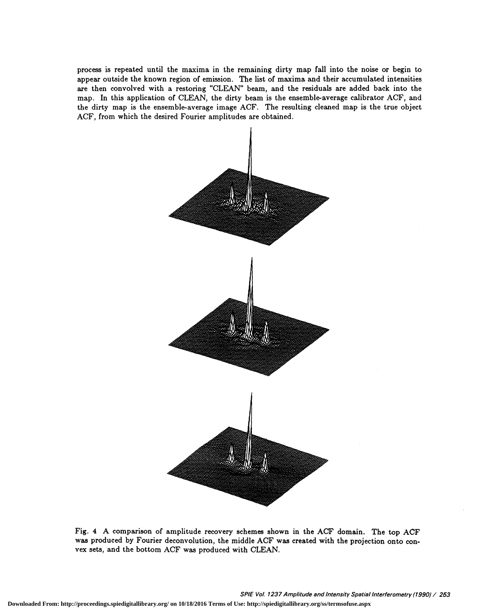process is repeated until the maxima in the remaining dirty map fall into the noise or begin to appear outside the known region of emission. The list of maxima and their accumulated intensities are then convolved with a restoring "CLEAN" beam, and the residuals are added back into the map. In this application of CLEAN, the dirty beam is the ensemble-average calibrator ACF, and the dirty map is the ensemble-average image ACF. The resulting cleaned map is the true object ACF, from which the desired Fourier amplitudes are obtained.



Fig. 4 A comparison of amplitude recovery schemes shown in the ACF domain. The top ACF was produced by Fourier deconvolution, the middle ACF was created with the projection onto convex sets, and the bottom ACF was produced with CLEAN.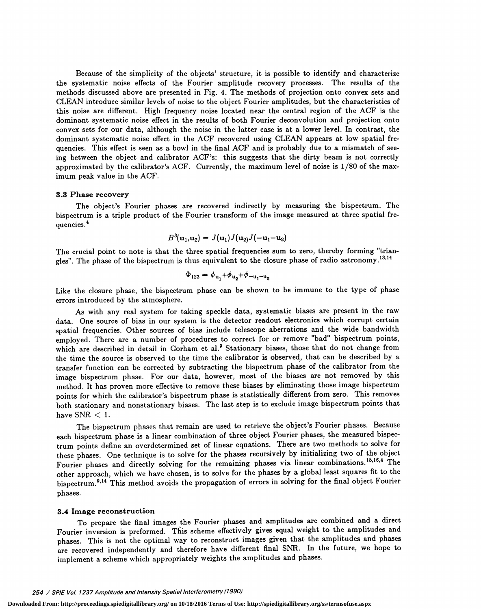Because of the simplicity of the objects' structure, it is possible to identify and characterize the systematic noise effects of the Fourier amplitude recovery processes. The results of the methods discussed above are presented in Fig. 4. The methods of projection onto convex sets and CLEAN introduce similar levels of noise to the object Fourier amplitudes, but the characteristics of this noise are different. High frequency noise located near the central region of the ACF is the dominant systematic noise effect in the results of both Fourier deconvolution and projection onto convex sets for our data, although the noise in the latter case is at a lower level. In contrast, the dominant systematic noise effect in the AOF recovered using CLEAN appears at low spatial frequencies. This effect is seen as a bowl in the final ACF and is probably due to a mismatch of seeing between the object and calibrator ACF's: this suggests that the dirty beam is not correctly approximated by the calibrator's ACF. Currently, the maximum level of noise is 1/80 of the maximum peak value in the ACF.

#### 3.3 Phase recovery

The object's Fourier phases are recovered indirectly by measuring the bispectrum. The bispectrum is a triple product of the Fourier transform of the image measured at three spatial frequencies.<sup>4</sup>

$$
B^3(\mathbf{u}_1,\mathbf{u}_2)=J(\mathbf{u}_1)J(\mathbf{u}_2)J(-\mathbf{u}_1-\mathbf{u}_2)
$$

The crucial point to note is that the three spatial frequencies sum to zero, thereby forming "triangles". The phase of the bispectrum is thus equivalent to the closure phase of radio astronomy.<sup>13,14</sup>

$$
\Phi_{123} = \phi_{u_1} + \phi_{u_2} + \phi_{-u_1 - u_2}
$$

Like the closure phase, the bispectrum phase can be shown to be immune to the type of phase errors introduced by the atmosphere.

As with any real system for taking speckle data, systematic biases are present in the raw data. One source of bias in our system is the detector readout electronics which corrupt certain spatial frequencies. Other sources of bias include telescope aberrations and the wide bandwidth employed. There are a number of procedures to correct for or remove "bad" bispectrum points, which are described in detail in Gorham et al.<sup>9</sup> Stationary biases, those that do not change from the time the source is observed to the time the calibrator is observed, that can be described by a transfer function can be corrected by subtracting the bispectrum phase of the calibrator from the image bispectrum phase. For our data, however, most of the biases are not removed by this method. It has proven more effective to remove these biases by eliminating those image bispectrum points for which the calibrator's bispectrum phase is statistically different from zero. This removes both stationary and nonstationary biases. The last step is to exclude image bispectrum points that have  $SNR < 1$ .

The bispectrum phases that remain are used to retrieve the object's Fourier phases. Because each bispectrum phase is a linear combination of three object Fourier phases, the measured bispectrum points define an overdetermined set of linear equations. There are two methods to solve for these phases. One technique is to solve for the phases recursively by initializing two of the object Fourier phases and directly solving for the remaining phases via linear combinations.<sup>15,16,4</sup> The other approach, which we have chosen, is to solve for the phases by a global least squares fit to the bispectrum.9'14 This method avoids the propagation of errors in solving for the final object Fourier phases.

### 3.4 Image reconstruction

To prepare the final images the Fourier phases and amplitudes are combined and a direct Fourier inversion is preformed. This scheme effectively gives equal weight to the amplitudes and phases. This is not the optimal way to reconstruct images given that the amplitudes and phases are recovered independently and therefore have different final SNR. In the future, we hope to implement a scheme which appropriately weights the amplitudes and phases.

## 254 / SPIE Vol. 1237 Amplitude and Intensity Spatial Interferometry (1990)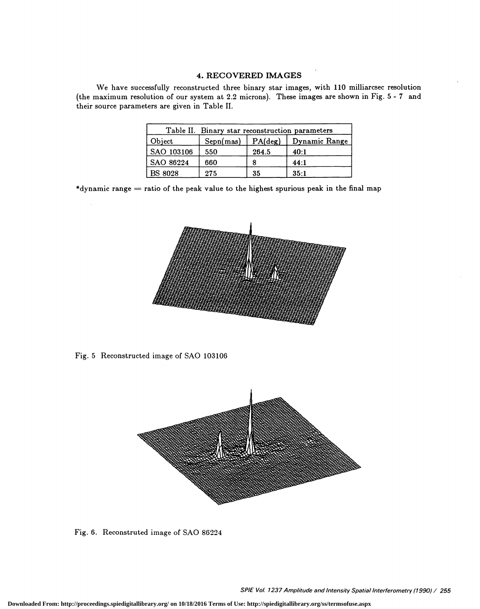# 4. RECOVERED IMAGES

We have successfully reconstructed three binary star images, with 110 milliarcsec resolution (the maximum resolution of our system at 2.2 microns). These images areshown in Fig. 5 - <sup>7</sup> and their source parameters are given in Table II.

| Table II. Binary star reconstruction parameters |           |         |               |  |  |  |
|-------------------------------------------------|-----------|---------|---------------|--|--|--|
| Object                                          | Sepn(mas) | PA(deg) | Dynamic Range |  |  |  |
| SAO 103106                                      | 550       | 264.5   | 40:1          |  |  |  |
| SAO 86224                                       | 660       |         | 44:1          |  |  |  |
| <b>BS 8028</b>                                  | 275       | 35      | 35:1          |  |  |  |

\*dynamic range  $=$  ratio of the peak value to the highest spurious peak in the final map



Fig. 5 Reconstructed image of SAO 103106



Fig. 6. Reconstruted image of SAO 86224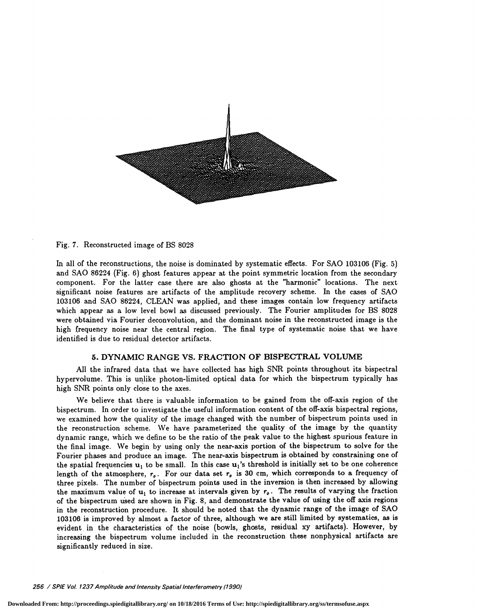

## Fig. 7. Reconstructed image of BS 8028

In all of the reconstructions, the noise is dominated by systematic effects. For SAO 103106 (Fig. 5) and SAO 86224 (Fig. 6) ghost features appear at the point symmetric location from the secondary component. For the latter case there are also ghosts at the "harmonic" locations. The next significant noise features are artifacts of the amplitude recovery scheme. In the cases of SAO 103106 and SAO 86224, CLEAN was applied, and these images contain low frequency artifacts which appear as a low level bowl as discussed previously. The Fourier amplitudes for BS 8028 were obtained via Fourier deconvolution, and the dominant noise in the reconstructed image is the high frequency noise near the central region. The final type of systematic noise that we have identified is due to residual detector artifacts.

#### 5. DYNAMIC RANGE VS. FRACTION OF BISPECTRAL VOLUME

All the infrared data that we have collected has high SNR points throughout its bispectral hypervolume. This is unlike photon-limited optical data for which the bispectrum typically has high SNR points only close to the axes.

We believe that there is valuable information to be gained from the off-axis region of the bispectrum. In order to investigate the useful information content of the off-axis bispectral regions, we examined how the quality of the image changed with the number of bispectrum points used in the reconstruction scheme. We have parameterized the quality of the image by the quantity dynamic range, which we define to be the ratio of the peak value to the highest spurious feature in the final image. We begin by using only the near-axis portion of the bispectrum to solve for the Fourier phases and produce an image. The near-axis bispectrum is obtained by constraining one of the spatial frequencies  $u_1$  to be small. In this case  $u_1$ 's threshold is initially set to be one coherence length of the atmosphere,  $r_o$ . For our data set  $r_o$  is 30 cm, which corresponds to a frequency of three pixels. The number of bispectrum points used in the inversion is then increased by allowing the maximum value of  $u_1$  to increase at intervals given by  $r_o$ . The results of varying the fraction of the bispectrum used are shown in Fig. 8, and demonstrate the value of using the off axis regions in the reconstruction procedure. It should be noted that the dynamic range of the image of SAO 103106 is improved by almost a factor of three, although we are still limited by systematics, as is evident in the characteristics of the noise (bowls, ghosts, residual xy artifacts). However, by increasing the bispectrum volume included in the reconstruction these nonphysical artifacts are significantly reduced in size.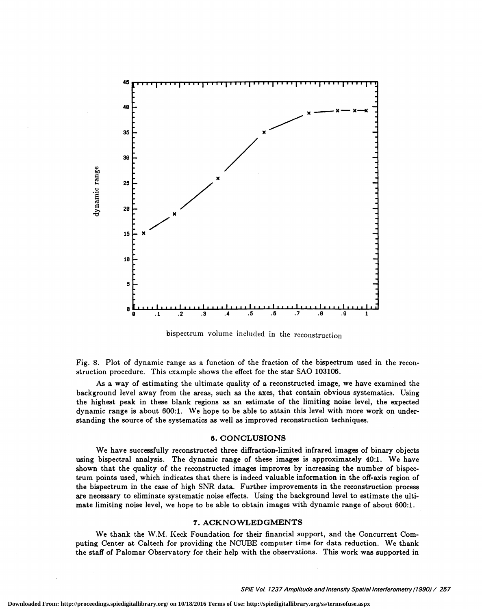

bispectrum volume included in the reconstruction

Fig. 8. Plot of dynamic range as a function of the fraction of the bispectrum used in the reconstruction procedure. This example shows the effect for the star SAO 103106.

As a way of estimating the ultimate quality of a reconstructed image, we have examined the background level away from the areas, such as the axes, that contain obvious systematics. Using the highest peak in these blank regions as an estimate of the limiting noise level, the expected dynamic range is about 600:1. We hope to be able to attain this level with more work on understanding the source of the systematics as well as improved reconstruction techniques.

#### 8. CONCLUSIONS

We have successfully reconstructed three diffraction-limited infrared images of binary objects using bispectral analysis. The dynamic range of these images is approximately 40:1. We have shown that the quality of the reconstructed images improves by increasing the number of bispectrum points used, which indicates that there is indeed valuable information in the off-axis region of the bispectrum in the case of high SNR data. Further improvements in the reconstruction process are necessary to eliminate systematic noise effects. Using the background level to estimate the ultimate limiting noise level, we hope to be able to obtain images with dynamic range of about 600:1.

#### 7. ACKNOWLEDGMENTS

We thank the W.M. Keck Foundation for their financial support, and the Concurrent Computing Center at Caltech for providing the NCUBE computer time for data reduction. We thank the staff of Palomar Observatory for their help with the observations. This work was supported in